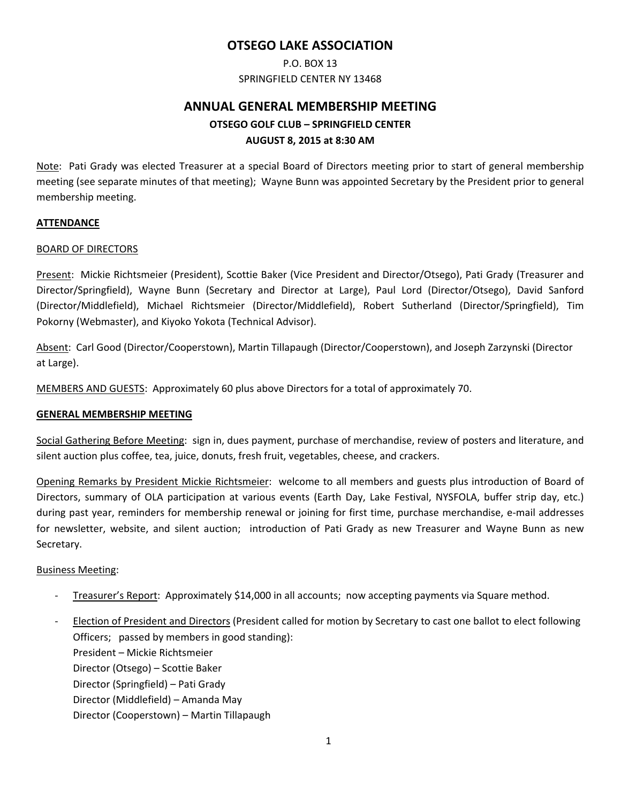### **OTSEGO LAKE ASSOCIATION**

## P.O. BOX 13 SPRINGFIELD CENTER NY 13468

# **ANNUAL GENERAL MEMBERSHIP MEETING OTSEGO GOLF CLUB – SPRINGFIELD CENTER AUGUST 8, 2015 at 8:30 AM**

Note: Pati Grady was elected Treasurer at a special Board of Directors meeting prior to start of general membership meeting (see separate minutes of that meeting); Wayne Bunn was appointed Secretary by the President prior to general membership meeting.

#### **ATTENDANCE**

#### BOARD OF DIRECTORS

Present: Mickie Richtsmeier (President), Scottie Baker (Vice President and Director/Otsego), Pati Grady (Treasurer and Director/Springfield), Wayne Bunn (Secretary and Director at Large), Paul Lord (Director/Otsego), David Sanford (Director/Middlefield), Michael Richtsmeier (Director/Middlefield), Robert Sutherland (Director/Springfield), Tim Pokorny (Webmaster), and Kiyoko Yokota (Technical Advisor).

Absent: Carl Good (Director/Cooperstown), Martin Tillapaugh (Director/Cooperstown), and Joseph Zarzynski (Director at Large).

MEMBERS AND GUESTS: Approximately 60 plus above Directors for a total of approximately 70.

#### **GENERAL MEMBERSHIP MEETING**

Social Gathering Before Meeting: sign in, dues payment, purchase of merchandise, review of posters and literature, and silent auction plus coffee, tea, juice, donuts, fresh fruit, vegetables, cheese, and crackers.

Opening Remarks by President Mickie Richtsmeier: welcome to all members and guests plus introduction of Board of Directors, summary of OLA participation at various events (Earth Day, Lake Festival, NYSFOLA, buffer strip day, etc.) during past year, reminders for membership renewal or joining for first time, purchase merchandise, e-mail addresses for newsletter, website, and silent auction; introduction of Pati Grady as new Treasurer and Wayne Bunn as new Secretary.

#### Business Meeting:

- ‐ Treasurer's Report: Approximately \$14,000 in all accounts; now accepting payments via Square method.
- ‐ Election of President and Directors (President called for motion by Secretary to cast one ballot to elect following Officers; passed by members in good standing): President – Mickie Richtsmeier Director (Otsego) – Scottie Baker Director (Springfield) – Pati Grady Director (Middlefield) – Amanda May Director (Cooperstown) – Martin Tillapaugh